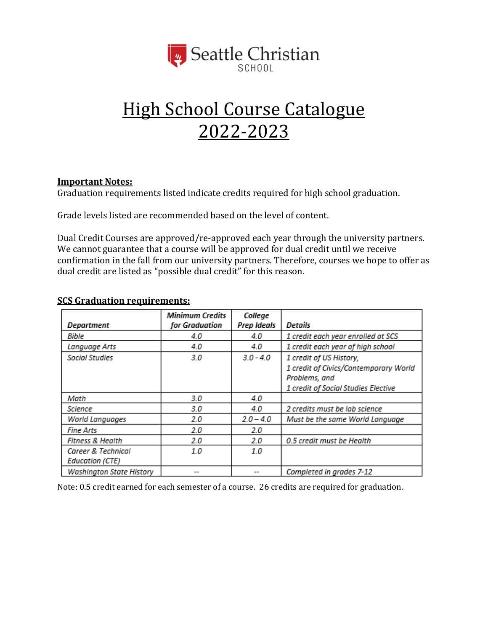

# High School Course Catalogue 2022-2023

#### **Important Notes:**

Graduation requirements listed indicate credits required for high school graduation.

Grade levels listed are recommended based on the level of content.

Dual Credit Courses are approved/re-approved each year through the university partners. We cannot guarantee that a course will be approved for dual credit until we receive confirmation in the fall from our university partners. Therefore, courses we hope to offer as dual credit are listed as "possible dual credit" for this reason.

| Department                                   | <b>Minimum Credits</b><br>for Graduation | College<br>Prep Ideals | Details                                                |
|----------------------------------------------|------------------------------------------|------------------------|--------------------------------------------------------|
| Bible                                        | 4.0                                      | 4.0                    | 1 credit each year enrolled at SCS                     |
| Language Arts                                | 4.0                                      | 4.0                    | 1 credit each year of high school                      |
| Social Studies                               | 3.0                                      | $3.0 - 4.0$            | 1 credit of US History,                                |
|                                              |                                          |                        | 1 credit of Civics/Contemporary World<br>Problems, and |
|                                              |                                          |                        | 1 credit of Social Studies Elective                    |
| Math                                         | 3.0                                      | 4.0                    |                                                        |
| Science                                      | 3.0                                      | 4.0                    | 2 credits must be lab science                          |
| World Languages                              | 2.0                                      | $2.0 - 4.0$            | Must be the same World Language                        |
| Fine Arts                                    | 2.0                                      | 2.0                    |                                                        |
| Fitness & Health                             | 2.0                                      | 2.0                    | 0.5 credit must be Health                              |
| Career & Technical<br><b>Education (CTE)</b> | 1.0                                      | 1.0                    |                                                        |
| Washington State History                     | --                                       | --                     | Completed in grades 7-12                               |

#### **SCS Graduation requirements:**

Note: 0.5 credit earned for each semester of a course. 26 credits are required for graduation.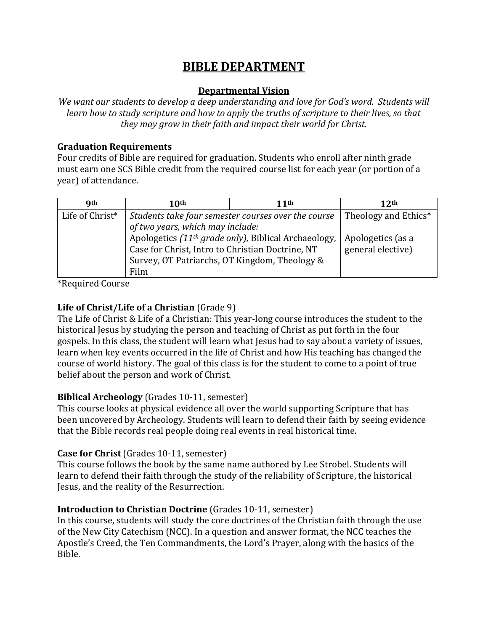# **BIBLE DEPARTMENT**

#### **Departmental Vision**

*We want our students to develop a deep understanding and love for God's word. Students will learn how to study scripture and how to apply the truths of scripture to their lives, so that they may grow in their faith and impact their world for Christ.*

#### **Graduation Requirements**

Four credits of Bible are required for graduation. Students who enroll after ninth grade must earn one SCS Bible credit from the required course list for each year (or portion of a year) of attendance.

| <b>Qth</b>      | 10th                                                                                                                                                                          | 11th                 | 12 <sup>th</sup>                       |
|-----------------|-------------------------------------------------------------------------------------------------------------------------------------------------------------------------------|----------------------|----------------------------------------|
| Life of Christ* | Students take four semester courses over the course<br>of two years, which may include:                                                                                       | Theology and Ethics* |                                        |
|                 | Apologetics (11 <sup>th</sup> grade only), Biblical Archaeology,<br>Case for Christ, Intro to Christian Doctrine, NT<br>Survey, OT Patriarchs, OT Kingdom, Theology &<br>Film |                      | Apologetics (as a<br>general elective) |

\*Required Course

# **Life of Christ/Life of a Christian** (Grade 9)

The Life of Christ & Life of a Christian: This year-long course introduces the student to the historical Jesus by studying the person and teaching of Christ as put forth in the four gospels. In this class, the student will learn what Jesus had to say about a variety of issues, learn when key events occurred in the life of Christ and how His teaching has changed the course of world history. The goal of this class is for the student to come to a point of true belief about the person and work of Christ.

# **Biblical Archeology** (Grades 10-11, semester)

This course looks at physical evidence all over the world supporting Scripture that has been uncovered by Archeology. Students will learn to defend their faith by seeing evidence that the Bible records real people doing real events in real historical time.

# **Case for Christ** (Grades 10-11, semester)

This course follows the book by the same name authored by Lee Strobel. Students will learn to defend their faith through the study of the reliability of Scripture, the historical Jesus, and the reality of the Resurrection.

# **Introduction to Christian Doctrine** (Grades 10-11, semester)

In this course, students will study the core doctrines of the Christian faith through the use of the New City Catechism (NCC). In a question and answer format, the NCC teaches the Apostle's Creed, the Ten Commandments, the Lord's Prayer, along with the basics of the Bible.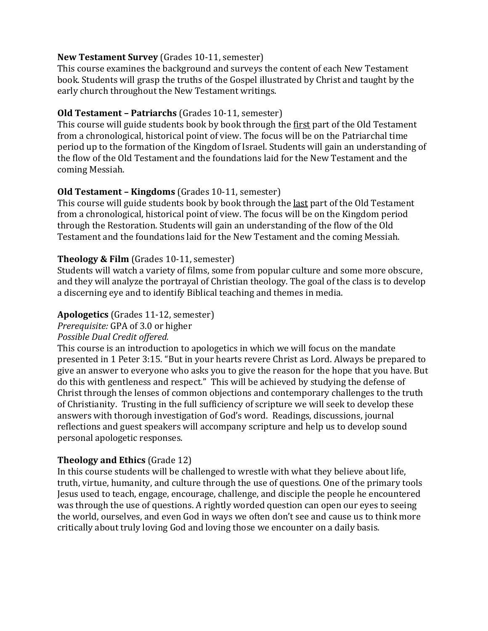#### **New Testament Survey** (Grades 10-11, semester)

This course examines the background and surveys the content of each New Testament book. Students will grasp the truths of the Gospel illustrated by Christ and taught by the early church throughout the New Testament writings.

#### **Old Testament – Patriarchs** (Grades 10-11, semester)

This course will guide students book by book through the first part of the Old Testament from a chronological, historical point of view. The focus will be on the Patriarchal time period up to the formation of the Kingdom of Israel. Students will gain an understanding of the flow of the Old Testament and the foundations laid for the New Testament and the coming Messiah.

#### **Old Testament – Kingdoms** (Grades 10-11, semester)

This course will guide students book by book through the last part of the Old Testament from a chronological, historical point of view. The focus will be on the Kingdom period through the Restoration. Students will gain an understanding of the flow of the Old Testament and the foundations laid for the New Testament and the coming Messiah.

#### **Theology & Film** (Grades 10-11, semester)

Students will watch a variety of films, some from popular culture and some more obscure, and they will analyze the portrayal of Christian theology. The goal of the class is to develop a discerning eye and to identify Biblical teaching and themes in media.

#### **Apologetics** (Grades 11-12, semester)

*Prerequisite:* GPA of 3.0 or higher

#### *Possible Dual Credit offered.*

This course is an introduction to apologetics in which we will focus on the mandate presented in 1 Peter 3:15. "But in your hearts revere Christ as Lord. Always be prepared to give an answer to everyone who asks you to give the reason for the hope that you have. But do this with gentleness and respect." This will be achieved by studying the defense of Christ through the lenses of common objections and contemporary challenges to the truth of Christianity. Trusting in the full sufficiency of scripture we will seek to develop these answers with thorough investigation of God's word. Readings, discussions, journal reflections and guest speakers will accompany scripture and help us to develop sound personal apologetic responses.

# **Theology and Ethics** (Grade 12)

In this course students will be challenged to wrestle with what they believe about life, truth, virtue, humanity, and culture through the use of questions. One of the primary tools Jesus used to teach, engage, encourage, challenge, and disciple the people he encountered was through the use of questions. A rightly worded question can open our eyes to seeing the world, ourselves, and even God in ways we often don't see and cause us to think more critically about truly loving God and loving those we encounter on a daily basis.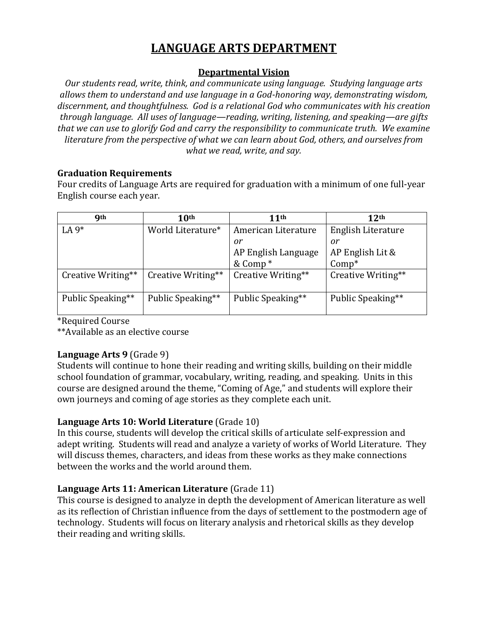# **LANGUAGE ARTS DEPARTMENT**

#### **Departmental Vision**

*Our students read, write, think, and communicate using language. Studying language arts allows them to understand and use language in a God-honoring way, demonstrating wisdom, discernment, and thoughtfulness. God is a relational God who communicates with his creation through language. All uses of language—reading, writing, listening, and speaking—are gifts that we can use to glorify God and carry the responsibility to communicate truth. We examine literature from the perspective of what we can learn about God, others, and ourselves from what we read, write, and say.*

#### **Graduation Requirements**

Four credits of Language Arts are required for graduation with a minimum of one full-year English course each year.

| <b>Qth</b>         | 10 <sup>th</sup>   | 11 <sup>th</sup>    | 12 <sup>th</sup>   |
|--------------------|--------------------|---------------------|--------------------|
| LA $9*$            | World Literature*  | American Literature | English Literature |
|                    |                    | 0r                  | or                 |
|                    |                    | AP English Language | AP English Lit &   |
|                    |                    | & Comp <sup>*</sup> | $Comp*$            |
| Creative Writing** | Creative Writing** | Creative Writing**  | Creative Writing** |
| Public Speaking**  | Public Speaking**  | Public Speaking**   | Public Speaking**  |

\*Required Course

\*\*Available as an elective course

#### **Language Arts 9** (Grade 9)

Students will continue to hone their reading and writing skills, building on their middle school foundation of grammar, vocabulary, writing, reading, and speaking. Units in this course are designed around the theme, "Coming of Age," and students will explore their own journeys and coming of age stories as they complete each unit.

# **Language Arts 10: World Literature** (Grade 10)

In this course, students will develop the critical skills of articulate self-expression and adept writing. Students will read and analyze a variety of works of World Literature. They will discuss themes, characters, and ideas from these works as they make connections between the works and the world around them.

# **Language Arts 11: American Literature** (Grade 11)

This course is designed to analyze in depth the development of American literature as well as its reflection of Christian influence from the days of settlement to the postmodern age of technology. Students will focus on literary analysis and rhetorical skills as they develop their reading and writing skills.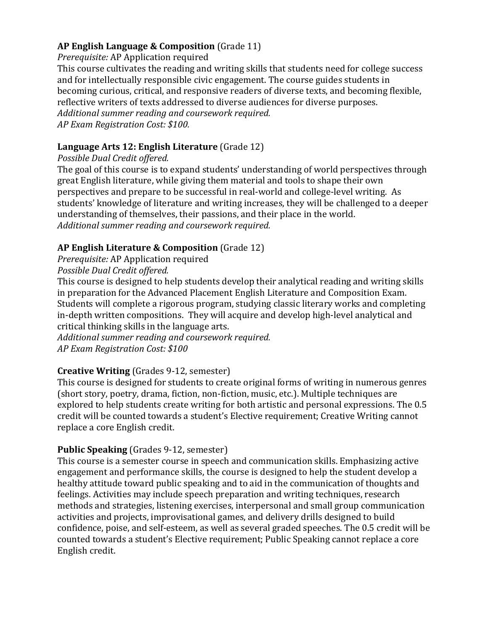# **AP English Language & Composition** (Grade 11)

*Prerequisite:* AP Application required

This course cultivates the reading and writing skills that students need for college success and for intellectually responsible civic engagement. The course guides students in becoming curious, critical, and responsive readers of diverse texts, and becoming flexible, reflective writers of texts addressed to diverse audiences for diverse purposes. *Additional summer reading and coursework required. AP Exam Registration Cost: \$100.* 

# **Language Arts 12: English Literature** (Grade 12)

### *Possible Dual Credit offered.*

The goal of this course is to expand students' understanding of world perspectives through great English literature, while giving them material and tools to shape their own perspectives and prepare to be successful in real-world and college-level writing. As students' knowledge of literature and writing increases, they will be challenged to a deeper understanding of themselves, their passions, and their place in the world. *Additional summer reading and coursework required.*

# **AP English Literature & Composition** (Grade 12)

*Prerequisite:* AP Application required

# *Possible Dual Credit offered.*

This course is designed to help students develop their analytical reading and writing skills in preparation for the Advanced Placement English Literature and Composition Exam. Students will complete a rigorous program, studying classic literary works and completing in-depth written compositions. They will acquire and develop high-level analytical and critical thinking skills in the language arts.

*Additional summer reading and coursework required. AP Exam Registration Cost: \$100*

# **Creative Writing** (Grades 9-12, semester)

This course is designed for students to create original forms of writing in numerous genres (short story, poetry, drama, fiction, non-fiction, music, etc.). Multiple techniques are explored to help students create writing for both artistic and personal expressions. The 0.5 credit will be counted towards a student's Elective requirement; Creative Writing cannot replace a core English credit.

# **Public Speaking** (Grades 9-12, semester)

This course is a semester course in speech and communication skills. Emphasizing active engagement and performance skills, the course is designed to help the student develop a healthy attitude toward public speaking and to aid in the communication of thoughts and feelings. Activities may include speech preparation and writing techniques, research methods and strategies, listening exercises, interpersonal and small group communication activities and projects, improvisational games, and delivery drills designed to build confidence, poise, and self-esteem, as well as several graded speeches. The 0.5 credit will be counted towards a student's Elective requirement; Public Speaking cannot replace a core English credit.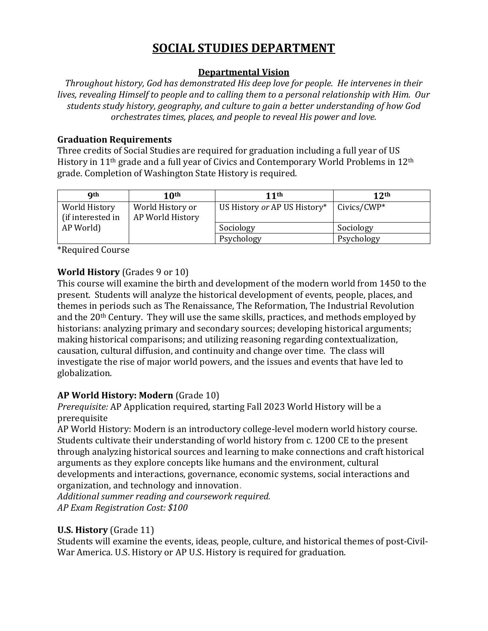# **SOCIAL STUDIES DEPARTMENT**

### **Departmental Vision**

*Throughout history, God has demonstrated His deep love for people. He intervenes in their lives, revealing Himself to people and to calling them to a personal relationship with Him. Our students study history, geography, and culture to gain a better understanding of how God orchestrates times, places, and people to reveal His power and love.*

#### **Graduation Requirements**

Three credits of Social Studies are required for graduation including a full year of US History in 11<sup>th</sup> grade and a full year of Civics and Contemporary World Problems in 12<sup>th</sup> grade. Completion of Washington State History is required.

| <b>Qth</b>                         | 10th                                 | 11 <sup>th</sup>             | 12 <sup>th</sup> |
|------------------------------------|--------------------------------------|------------------------------|------------------|
| World History<br>(if interested in | World History or<br>AP World History | US History or AP US History* | $Civics/CWP*$    |
| AP World)                          |                                      | Sociology                    | Sociology        |
|                                    |                                      | Psychology                   | Psychology       |

\*Required Course

# **World History** (Grades 9 or 10)

This course will examine the birth and development of the modern world from 1450 to the present. Students will analyze the historical development of events, people, places, and themes in periods such as The Renaissance, The Reformation, The Industrial Revolution and the 20th Century. They will use the same skills, practices, and methods employed by historians: analyzing primary and secondary sources; developing historical arguments; making historical comparisons; and utilizing reasoning regarding contextualization, causation, cultural diffusion, and continuity and change over time. The class will investigate the rise of major world powers, and the issues and events that have led to globalization.

# **AP World History: Modern** (Grade 10)

*Prerequisite:* AP Application required*,* starting Fall 2023 World History will be a prerequisite

AP World History: Modern is an introductory college-level modern world history course. Students cultivate their understanding of world history from c. 1200 CE to the present through analyzing historical sources and learning to make connections and craft historical arguments as they explore concepts like humans and the environment, cultural developments and interactions, governance, economic systems, social interactions and organization, and technology and innovation.

*Additional summer reading and coursework required. AP Exam Registration Cost: \$100*

# **U.S. History** (Grade 11)

Students will examine the events, ideas, people, culture, and historical themes of post-Civil-War America. U.S. History or AP U.S. History is required for graduation.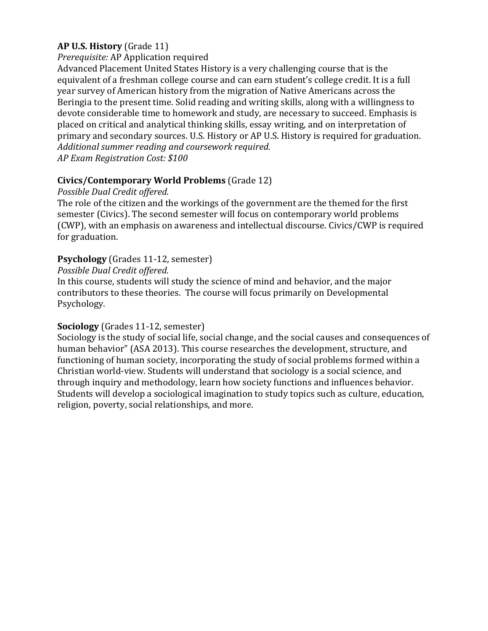### **AP U.S. History** (Grade 11)

#### *Prerequisite:* AP Application required

Advanced Placement United States History is a very challenging course that is the equivalent of a freshman college course and can earn student's college credit. It is a full year survey of American history from the migration of Native Americans across the Beringia to the present time. Solid reading and writing skills, along with a willingness to devote considerable time to homework and study, are necessary to succeed. Emphasis is placed on critical and analytical thinking skills, essay writing, and on interpretation of primary and secondary sources. U.S. History or AP U.S. History is required for graduation. *Additional summer reading and coursework required. AP Exam Registration Cost: \$100*

#### **Civics/Contemporary World Problems** (Grade 12)

#### *Possible Dual Credit offered.*

The role of the citizen and the workings of the government are the themed for the first semester (Civics). The second semester will focus on contemporary world problems (CWP), with an emphasis on awareness and intellectual discourse. Civics/CWP is required for graduation.

#### **Psychology** (Grades 11-12, semester)

#### *Possible Dual Credit offered.*

In this course, students will study the science of mind and behavior, and the major contributors to these theories. The course will focus primarily on Developmental Psychology.

#### **Sociology** (Grades 11-12, semester)

Sociology is the study of social life, social change, and the social causes and consequences of human behavior" (ASA 2013). This course researches the development, structure, and functioning of human society, incorporating the study of social problems formed within a Christian world-view. Students will understand that sociology is a social science, and through inquiry and methodology, learn how society functions and influences behavior. Students will develop a sociological imagination to study topics such as culture, education, religion, poverty, social relationships, and more.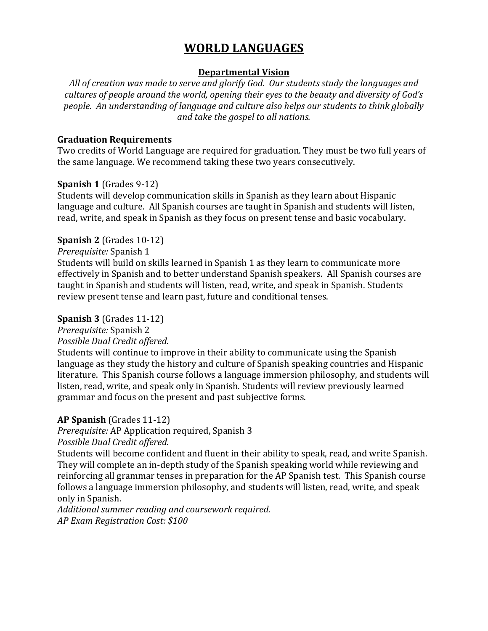# **WORLD LANGUAGES**

#### **Departmental Vision**

*All of creation was made to serve and glorify God. Our students study the languages and cultures of people around the world, opening their eyes to the beauty and diversity of God's people. An understanding of language and culture also helps our students to think globally and take the gospel to all nations.*

#### **Graduation Requirements**

Two credits of World Language are required for graduation. They must be two full years of the same language. We recommend taking these two years consecutively.

#### **Spanish 1** (Grades 9-12)

Students will develop communication skills in Spanish as they learn about Hispanic language and culture. All Spanish courses are taught in Spanish and students will listen, read, write, and speak in Spanish as they focus on present tense and basic vocabulary.

#### **Spanish 2** (Grades 10-12)

*Prerequisite:* Spanish 1

Students will build on skills learned in Spanish 1 as they learn to communicate more effectively in Spanish and to better understand Spanish speakers. All Spanish courses are taught in Spanish and students will listen, read, write, and speak in Spanish. Students review present tense and learn past, future and conditional tenses.

### **Spanish 3** (Grades 11-12)

# *Prerequisite:* Spanish 2

*Possible Dual Credit offered.*

Students will continue to improve in their ability to communicate using the Spanish language as they study the history and culture of Spanish speaking countries and Hispanic literature. This Spanish course follows a language immersion philosophy, and students will listen, read, write, and speak only in Spanish. Students will review previously learned grammar and focus on the present and past subjective forms.

# **AP Spanish** (Grades 11-12)

*Prerequisite:* AP Application required, Spanish 3

*Possible Dual Credit offered.*

Students will become confident and fluent in their ability to speak, read, and write Spanish. They will complete an in-depth study of the Spanish speaking world while reviewing and reinforcing all grammar tenses in preparation for the AP Spanish test. This Spanish course follows a language immersion philosophy, and students will listen, read, write, and speak only in Spanish.

*Additional summer reading and coursework required. AP Exam Registration Cost: \$100*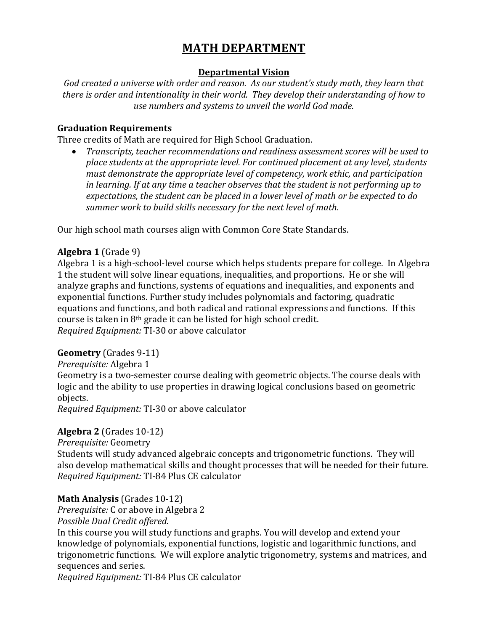# **MATH DEPARTMENT**

### **Departmental Vision**

*God created a universe with order and reason. As our student's study math, they learn that there is order and intentionality in their world. They develop their understanding of how to use numbers and systems to unveil the world God made.*

#### **Graduation Requirements**

Three credits of Math are required for High School Graduation.

• *Transcripts, teacher recommendations and readiness assessment scores will be used to place students at the appropriate level. For continued placement at any level, students must demonstrate the appropriate level of competency, work ethic, and participation in learning. If at any time a teacher observes that the student is not performing up to expectations, the student can be placed in a lower level of math or be expected to do summer work to build skills necessary for the next level of math.* 

Our high school math courses align with Common Core State Standards.

# **Algebra 1** (Grade 9)

Algebra 1 is a high-school-level course which helps students prepare for college. In Algebra 1 the student will solve linear equations, inequalities, and proportions. He or she will analyze graphs and functions, systems of equations and inequalities, and exponents and exponential functions. Further study includes polynomials and factoring, quadratic equations and functions, and both radical and rational expressions and functions. If this course is taken in 8th grade it can be listed for high school credit. *Required Equipment:* TI-30 or above calculator

#### **Geometry** (Grades 9-11)

*Prerequisite:* Algebra 1

Geometry is a two-semester course dealing with geometric objects. The course deals with logic and the ability to use properties in drawing logical conclusions based on geometric objects.

*Required Equipment:* TI-30 or above calculator

# **Algebra 2** (Grades 10-12)

*Prerequisite:* Geometry

Students will study advanced algebraic concepts and trigonometric functions. They will also develop mathematical skills and thought processes that will be needed for their future. *Required Equipment:* TI-84 Plus CE calculator

# **Math Analysis** (Grades 10-12)

*Prerequisite:* C or above in Algebra 2

*Possible Dual Credit offered.*

In this course you will study functions and graphs. You will develop and extend your knowledge of polynomials, exponential functions, logistic and logarithmic functions, and trigonometric functions. We will explore analytic trigonometry, systems and matrices, and sequences and series.

*Required Equipment:* TI-84 Plus CE calculator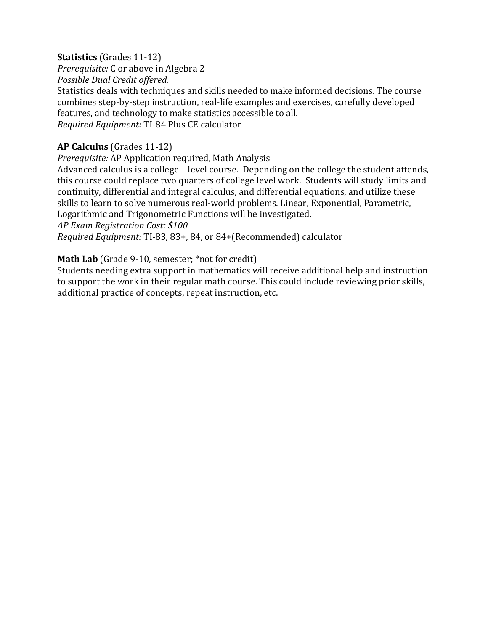#### **Statistics** (Grades 11-12)

*Prerequisite:* C or above in Algebra 2

*Possible Dual Credit offered.*

Statistics deals with techniques and skills needed to make informed decisions. The course combines step-by-step instruction, real-life examples and exercises, carefully developed features, and technology to make statistics accessible to all. *Required Equipment:* TI-84 Plus CE calculator

### **AP Calculus** (Grades 11-12)

*Prerequisite:* AP Application required, Math Analysis

Advanced calculus is a college – level course. Depending on the college the student attends, this course could replace two quarters of college level work. Students will study limits and continuity, differential and integral calculus, and differential equations, and utilize these skills to learn to solve numerous real-world problems. Linear, Exponential, Parametric, Logarithmic and Trigonometric Functions will be investigated.

*AP Exam Registration Cost: \$100*

*Required Equipment:* TI-83, 83+, 84, or 84+(Recommended) calculator

#### Math Lab (Grade 9-10, semester; \*not for credit)

Students needing extra support in mathematics will receive additional help and instruction to support the work in their regular math course. This could include reviewing prior skills, additional practice of concepts, repeat instruction, etc.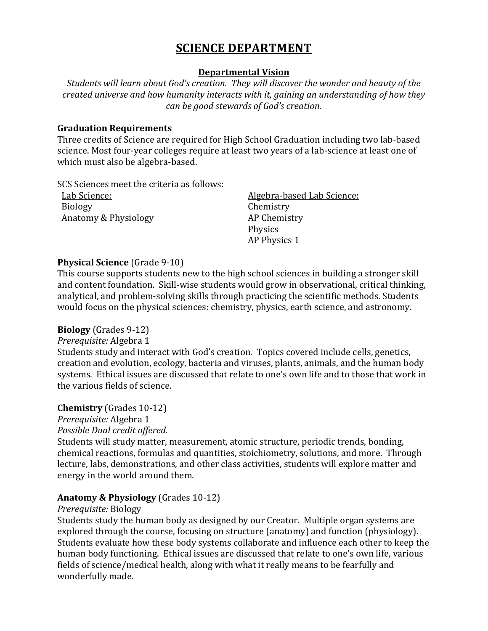# **SCIENCE DEPARTMENT**

#### **Departmental Vision**

*Students will learn about God's creation. They will discover the wonder and beauty of the created universe and how humanity interacts with it, gaining an understanding of how they can be good stewards of God's creation.*

#### **Graduation Requirements**

Three credits of Science are required for High School Graduation including two lab-based science. Most four-year colleges require at least two years of a lab-science at least one of which must also be algebra-based.

SCS Sciences meet the criteria as follows:

Biology Chemistry Anatomy & Physiology **AP Chemistry** 

Lab Science: Algebra-based Lab Science: Physics AP Physics 1

#### **Physical Science** (Grade 9-10)

This course supports students new to the high school sciences in building a stronger skill and content foundation. Skill-wise students would grow in observational, critical thinking, analytical, and problem-solving skills through practicing the scientific methods. Students would focus on the physical sciences: chemistry, physics, earth science, and astronomy.

#### **Biology** (Grades 9-12)

*Prerequisite:* Algebra 1

Students study and interact with God's creation. Topics covered include cells, genetics, creation and evolution, ecology, bacteria and viruses, plants, animals, and the human body systems. Ethical issues are discussed that relate to one's own life and to those that work in the various fields of science.

#### **Chemistry** (Grades 10-12)

*Prerequisite:* Algebra 1

*Possible Dual credit offered.* 

Students will study matter, measurement, atomic structure, periodic trends, bonding, chemical reactions, formulas and quantities, stoichiometry, solutions, and more. Through lecture, labs, demonstrations, and other class activities, students will explore matter and energy in the world around them.

#### **Anatomy & Physiology** (Grades 10-12)

*Prerequisite:* Biology

Students study the human body as designed by our Creator. Multiple organ systems are explored through the course, focusing on structure (anatomy) and function (physiology). Students evaluate how these body systems collaborate and influence each other to keep the human body functioning. Ethical issues are discussed that relate to one's own life, various fields of science/medical health, along with what it really means to be fearfully and wonderfully made.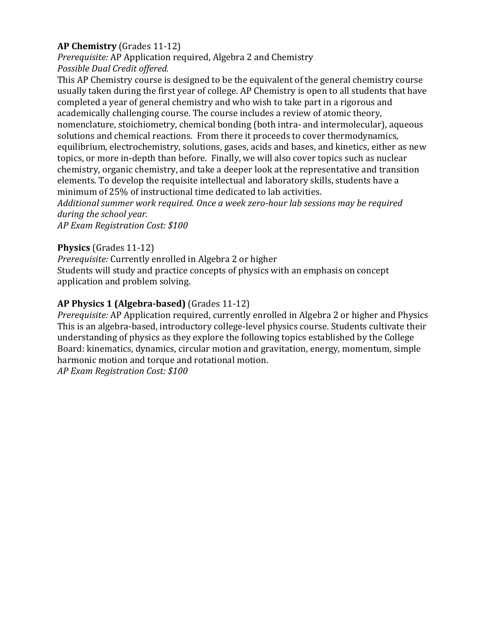# **AP Chemistry** (Grades 11-12)

*Prerequisite:* AP Application required, Algebra 2 and Chemistry *Possible Dual Credit offered.*

This AP Chemistry course is designed to be the equivalent of the general chemistry course usually taken during the first year of college. AP Chemistry is open to all students that have completed a year of general chemistry and who wish to take part in a rigorous and academically challenging course. The course includes a review of atomic theory, nomenclature, stoichiometry, chemical bonding (both intra- and intermolecular), aqueous solutions and chemical reactions. From there it proceeds to cover thermodynamics, equilibrium, electrochemistry, solutions, gases, acids and bases, and kinetics, either as new topics, or more in-depth than before. Finally, we will also cover topics such as nuclear chemistry, organic chemistry, and take a deeper look at the representative and transition elements. To develop the requisite intellectual and laboratory skills, students have a minimum of 25% of instructional time dedicated to lab activities.

*Additional summer work required. Once a week zero-hour lab sessions may be required during the school year.* 

*AP Exam Registration Cost: \$100* 

#### **Physics** (Grades 11-12)

*Prerequisite:* Currently enrolled in Algebra 2 or higher

Students will study and practice concepts of physics with an emphasis on concept application and problem solving.

# **AP Physics 1 (Algebra-based)** (Grades 11-12)

*Prerequisite:* AP Application required, currently enrolled in Algebra 2 or higher and Physics This is an algebra-based, introductory college-level physics course. Students cultivate their understanding of physics as they explore the following topics established by the College Board: kinematics, dynamics, circular motion and gravitation, energy, momentum, simple harmonic motion and torque and rotational motion.

*AP Exam Registration Cost: \$100*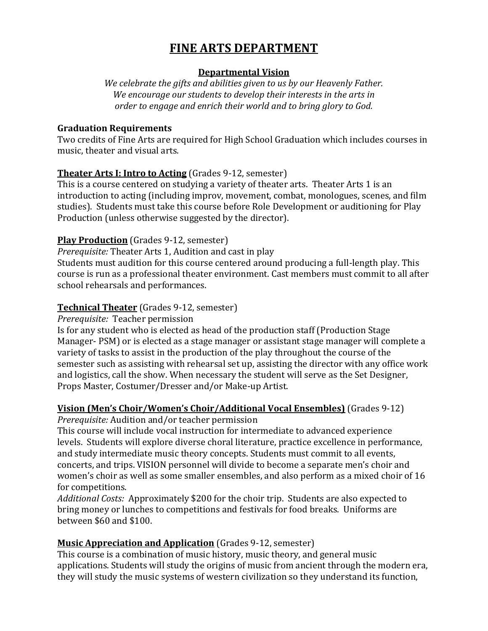# **FINE ARTS DEPARTMENT**

# **Departmental Vision**

*We celebrate the gifts and abilities given to us by our Heavenly Father. We encourage our students to develop their interests in the arts in order to engage and enrich their world and to bring glory to God.*

#### **Graduation Requirements**

Two credits of Fine Arts are required for High School Graduation which includes courses in music, theater and visual arts.

# **Theater Arts I: Intro to Acting** (Grades 9-12, semester)

This is a course centered on studying a variety of theater arts. Theater Arts 1 is an introduction to acting (including improv, movement, combat, monologues, scenes, and film studies). Students must take this course before Role Development or auditioning for Play Production (unless otherwise suggested by the director).

# **Play Production** (Grades 9-12, semester)

*Prerequisite:* Theater Arts 1, Audition and cast in play

Students must audition for this course centered around producing a full-length play. This course is run as a professional theater environment. Cast members must commit to all after school rehearsals and performances.

# **Technical Theater** (Grades 9-12, semester)

*Prerequisite:* Teacher permission

Is for any student who is elected as head of the production staff (Production Stage Manager- PSM) or is elected as a stage manager or assistant stage manager will complete a variety of tasks to assist in the production of the play throughout the course of the semester such as assisting with rehearsal set up, assisting the director with any office work and logistics, call the show. When necessary the student will serve as the Set Designer, Props Master, Costumer/Dresser and/or Make-up Artist.

# **Vision (Men's Choir/Women's Choir/Additional Vocal Ensembles)** (Grades 9-12)

*Prerequisite:* Audition and/or teacher permission

This course will include vocal instruction for intermediate to advanced experience levels. Students will explore diverse choral literature, practice excellence in performance, and study intermediate music theory concepts. Students must commit to all events, concerts, and trips. VISION personnel will divide to become a separate men's choir and women's choir as well as some smaller ensembles, and also perform as a mixed choir of 16 for competitions.

*Additional Costs:* Approximately \$200 for the choir trip. Students are also expected to bring money or lunches to competitions and festivals for food breaks. Uniforms are between \$60 and \$100.

# **Music Appreciation and Application** (Grades 9-12, semester)

This course is a combination of music history, music theory, and general music applications. Students will study the origins of music from ancient through the modern era, they will study the music systems of western civilization so they understand its function,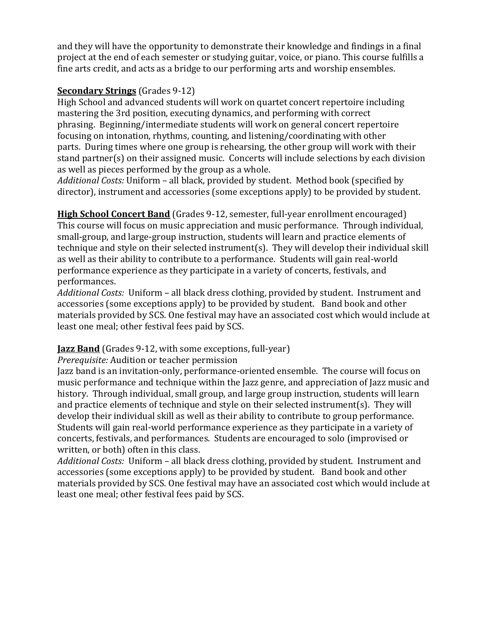and they will have the opportunity to demonstrate their knowledge and findings in a final project at the end of each semester or studying guitar, voice, or piano. This course fulfills a fine arts credit, and acts as a bridge to our performing arts and worship ensembles.

# **Secondary Strings** (Grades 9-12)

High School and advanced students will work on quartet concert repertoire including mastering the 3rd position, executing dynamics, and performing with correct phrasing. Beginning/intermediate students will work on general concert repertoire focusing on intonation, rhythms, counting, and listening/coordinating with other parts. During times where one group is rehearsing, the other group will work with their stand partner(s) on their assigned music. Concerts will include selections by each division as well as pieces performed by the group as a whole.

*Additional Costs:* Uniform – all black, provided by student. Method book (specified by director), instrument and accessories (some exceptions apply) to be provided by student.

**High School Concert Band** (Grades 9-12, semester, full-year enrollment encouraged) This course will focus on music appreciation and music performance. Through individual, small-group, and large-group instruction, students will learn and practice elements of technique and style on their selected instrument(s). They will develop their individual skill as well as their ability to contribute to a performance. Students will gain real-world performance experience as they participate in a variety of concerts, festivals, and performances.

*Additional Costs:* Uniform – all black dress clothing, provided by student. Instrument and accessories (some exceptions apply) to be provided by student. Band book and other materials provided by SCS. One festival may have an associated cost which would include at least one meal; other festival fees paid by SCS.

# **Jazz Band** (Grades 9-12, with some exceptions, full-year)

*Prerequisite:* Audition or teacher permission

Jazz band is an invitation-only, performance-oriented ensemble. The course will focus on music performance and technique within the Jazz genre, and appreciation of Jazz music and history. Through individual, small group, and large group instruction, students will learn and practice elements of technique and style on their selected instrument(s). They will develop their individual skill as well as their ability to contribute to group performance. Students will gain real-world performance experience as they participate in a variety of concerts, festivals, and performances. Students are encouraged to solo (improvised or written, or both) often in this class.

*Additional Costs:* Uniform – all black dress clothing, provided by student. Instrument and accessories (some exceptions apply) to be provided by student. Band book and other materials provided by SCS. One festival may have an associated cost which would include at least one meal; other festival fees paid by SCS.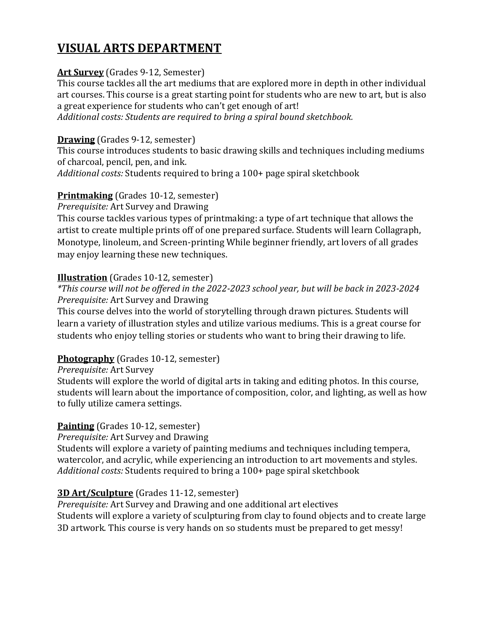# **VISUAL ARTS DEPARTMENT**

# **Art Survey** (Grades 9-12, Semester)

This course tackles all the art mediums that are explored more in depth in other individual art courses. This course is a great starting point for students who are new to art, but is also a great experience for students who can't get enough of art!

*Additional costs: Students are required to bring a spiral bound sketchbook.*

### **Drawing** (Grades 9-12, semester)

This course introduces students to basic drawing skills and techniques including mediums of charcoal, pencil, pen, and ink.

*Additional costs:* Students required to bring a 100+ page spiral sketchbook

# **Printmaking** (Grades 10-12, semester)

*Prerequisite:* Art Survey and Drawing

This course tackles various types of printmaking: a type of art technique that allows the artist to create multiple prints off of one prepared surface. Students will learn Collagraph, Monotype, linoleum, and Screen-printing While beginner friendly, art lovers of all grades may enjoy learning these new techniques.

# **Illustration** (Grades 10-12, semester)

# *\*This course will not be offered in the 2022-2023 school year, but will be back in 2023-2024 Prerequisite:* Art Survey and Drawing

This course delves into the world of storytelling through drawn pictures. Students will learn a variety of illustration styles and utilize various mediums. This is a great course for students who enjoy telling stories or students who want to bring their drawing to life.

# **Photography** (Grades 10-12, semester)

# *Prerequisite:* Art Survey

Students will explore the world of digital arts in taking and editing photos. In this course, students will learn about the importance of composition, color, and lighting, as well as how to fully utilize camera settings.

# **Painting** (Grades 10-12, semester)

*Prerequisite:* Art Survey and Drawing

Students will explore a variety of painting mediums and techniques including tempera, watercolor, and acrylic, while experiencing an introduction to art movements and styles. *Additional costs:* Students required to bring a 100+ page spiral sketchbook

# **3D Art/Sculpture** (Grades 11-12, semester)

*Prerequisite:* Art Survey and Drawing and one additional art electives Students will explore a variety of sculpturing from clay to found objects and to create large 3D artwork. This course is very hands on so students must be prepared to get messy!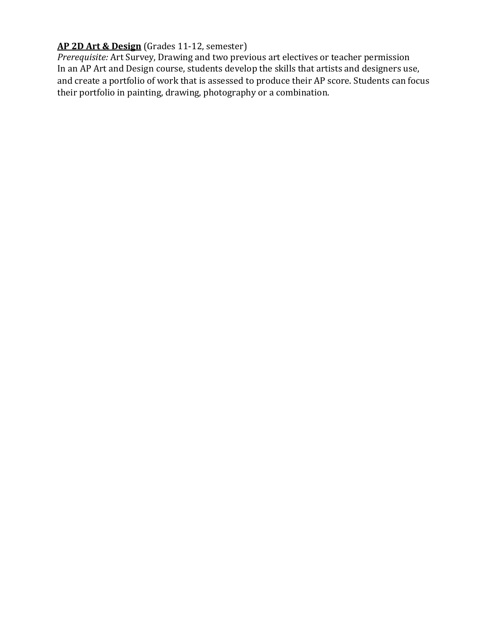# **AP 2D Art & Design** (Grades 11-12, semester)

*Prerequisite:* Art Survey, Drawing and two previous art electives or teacher permission In an AP Art and Design course, students develop the skills that artists and designers use, and create a portfolio of work that is assessed to produce their AP score. Students can focus their portfolio in painting, drawing, photography or a combination.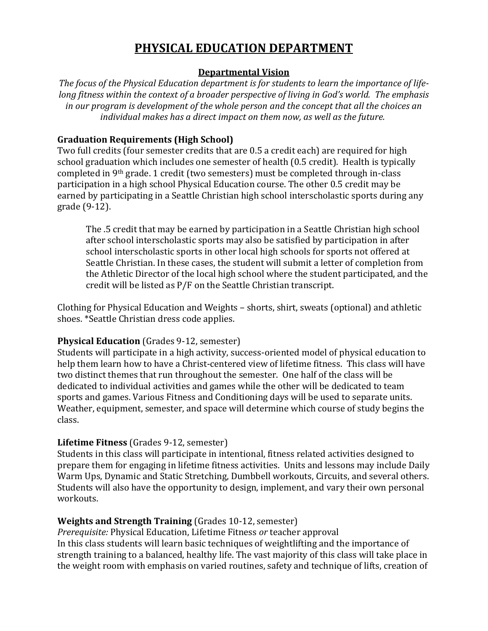# **PHYSICAL EDUCATION DEPARTMENT**

# **Departmental Vision**

*The focus of the Physical Education department is for students to learn the importance of lifelong fitness within the context of a broader perspective of living in God's world. The emphasis in our program is development of the whole person and the concept that all the choices an individual makes has a direct impact on them now, as well as the future.*

# **Graduation Requirements (High School)**

Two full credits (four semester credits that are 0.5 a credit each) are required for high school graduation which includes one semester of health (0.5 credit). Health is typically completed in 9th grade. 1 credit (two semesters) must be completed through in-class participation in a high school Physical Education course. The other 0.5 credit may be earned by participating in a Seattle Christian high school interscholastic sports during any grade (9-12).

The .5 credit that may be earned by participation in a Seattle Christian high school after school interscholastic sports may also be satisfied by participation in after school interscholastic sports in other local high schools for sports not offered at Seattle Christian. In these cases, the student will submit a letter of completion from the Athletic Director of the local high school where the student participated, and the credit will be listed as P/F on the Seattle Christian transcript.

Clothing for Physical Education and Weights – shorts, shirt, sweats (optional) and athletic shoes. \*Seattle Christian dress code applies.

# **Physical Education** (Grades 9-12, semester)

Students will participate in a high activity, success-oriented model of physical education to help them learn how to have a Christ-centered view of lifetime fitness. This class will have two distinct themes that run throughout the semester. One half of the class will be dedicated to individual activities and games while the other will be dedicated to team sports and games. Various Fitness and Conditioning days will be used to separate units. Weather, equipment, semester, and space will determine which course of study begins the class.

# **Lifetime Fitness** (Grades 9-12, semester)

Students in this class will participate in intentional, fitness related activities designed to prepare them for engaging in lifetime fitness activities. Units and lessons may include Daily Warm Ups, Dynamic and Static Stretching, Dumbbell workouts, Circuits, and several others. Students will also have the opportunity to design, implement, and vary their own personal workouts.

# **Weights and Strength Training** (Grades 10-12, semester)

*Prerequisite:* Physical Education, Lifetime Fitness *or* teacher approval In this class students will learn basic techniques of weightlifting and the importance of strength training to a balanced, healthy life. The vast majority of this class will take place in the weight room with emphasis on varied routines, safety and technique of lifts, creation of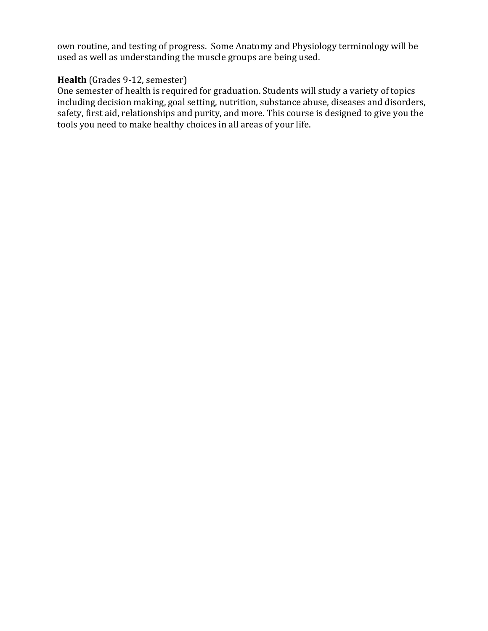own routine, and testing of progress. Some Anatomy and Physiology terminology will be used as well as understanding the muscle groups are being used.

# **Health** (Grades 9-12, semester)

One semester of health is required for graduation. Students will study a variety of topics including decision making, goal setting, nutrition, substance abuse, diseases and disorders, safety, first aid, relationships and purity, and more. This course is designed to give you the tools you need to make healthy choices in all areas of your life.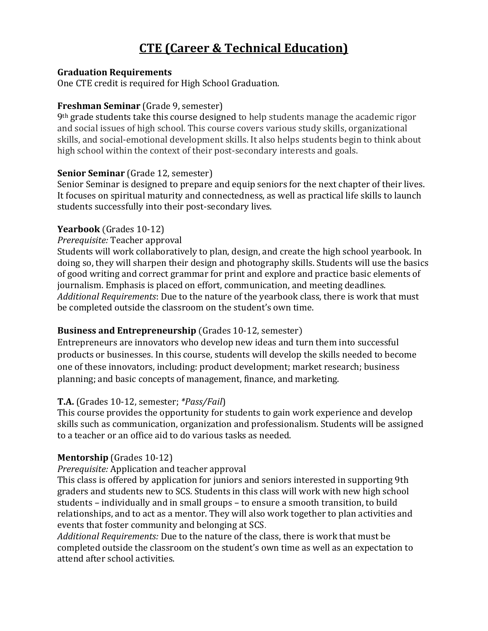# **CTE (Career & Technical Education)**

#### **Graduation Requirements**

One CTE credit is required for High School Graduation.

#### **Freshman Seminar** (Grade 9, semester)

9th grade students take this course designed to help students manage the academic rigor and social issues of high school. This course covers various study skills, organizational skills, and social-emotional development skills. It also helps students begin to think about high school within the context of their post-secondary interests and goals.

#### **Senior Seminar** (Grade 12, semester)

Senior Seminar is designed to prepare and equip seniors for the next chapter of their lives. It focuses on spiritual maturity and connectedness, as well as practical life skills to launch students successfully into their post-secondary lives.

#### **Yearbook** (Grades 10-12)

#### *Prerequisite:* Teacher approval

Students will work collaboratively to plan, design, and create the high school yearbook. In doing so, they will sharpen their design and photography skills. Students will use the basics of good writing and correct grammar for print and explore and practice basic elements of journalism. Emphasis is placed on effort, communication, and meeting deadlines. *Additional Requirements*: Due to the nature of the yearbook class, there is work that must be completed outside the classroom on the student's own time.

# **Business and Entrepreneurship** (Grades 10-12, semester)

Entrepreneurs are innovators who develop new ideas and turn them into successful products or businesses. In this course, students will develop the skills needed to become one of these innovators, including: product development; market research; business planning; and basic concepts of management, finance, and marketing.

# **T.A.** (Grades 10-12, semester; *\*Pass/Fail*)

This course provides the opportunity for students to gain work experience and develop skills such as communication, organization and professionalism. Students will be assigned to a teacher or an office aid to do various tasks as needed.

# **Mentorship** (Grades 10-12)

# *Prerequisite:* Application and teacher approval

This class is offered by application for juniors and seniors interested in supporting 9th graders and students new to SCS. Students in this class will work with new high school students – individually and in small groups – to ensure a smooth transition, to build relationships, and to act as a mentor. They will also work together to plan activities and events that foster community and belonging at SCS.

*Additional Requirements:* Due to the nature of the class, there is work that must be completed outside the classroom on the student's own time as well as an expectation to attend after school activities.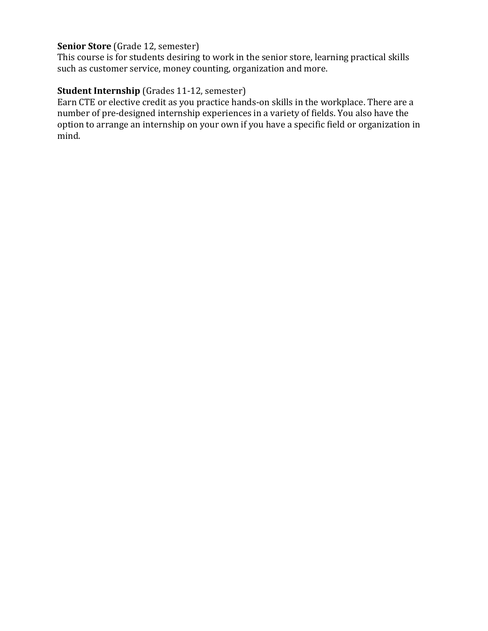# **Senior Store** (Grade 12, semester)

This course is for students desiring to work in the senior store, learning practical skills such as customer service, money counting, organization and more.

# **Student Internship** (Grades 11-12, semester)

Earn CTE or elective credit as you practice hands-on skills in the workplace. There are a number of pre-designed internship experiences in a variety of fields. You also have the option to arrange an internship on your own if you have a specific field or organization in mind.